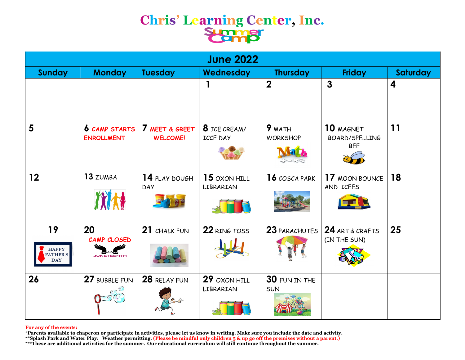### **Chris' Learning Center, Inc.**

| <b>June 2022</b>                                    |                                               |                                   |                                 |                           |                                           |                         |  |
|-----------------------------------------------------|-----------------------------------------------|-----------------------------------|---------------------------------|---------------------------|-------------------------------------------|-------------------------|--|
| <b>Sunday</b>                                       | <b>Monday</b>                                 | <b>Tuesday</b>                    | Wednesday                       | <b>Thursday</b>           | <b>Friday</b>                             | Saturday                |  |
|                                                     |                                               |                                   |                                 | $\overline{2}$            | $\overline{3}$                            | $\overline{\mathbf{4}}$ |  |
| $5\phantom{1}$                                      | <b>6 CAMP STARTS</b><br><b>ENROLLMENT</b>     | 7 MEET & GREET<br><b>WELCOME!</b> | 8 ICE CREAM/<br><b>ICCE DAY</b> | 9 MATH<br><b>WORKSHOP</b> | 10 MAGNET<br>BOARD/SPELLING<br><b>BEE</b> | 11                      |  |
| 12                                                  | 13 ZUMBA<br>优林                                | 14 PLAY DOUGH<br><b>DAY</b>       | 15 OXON HILL<br>LIBRARIAN       | 16 COSCA PARK             | 17 MOON BOUNCE<br>AND ICEES               | 18                      |  |
| 19<br><b>HAPPY</b><br><b>FATHER'S</b><br><b>DAY</b> | 20<br><b>CAMP CLOSED</b><br><b>JUNETEENTH</b> | 21 CHALK FUN                      | 22 RING TOSS                    | 23 PARACHUTES             | 24 ART & CRAFTS<br>(IN THE SUN)           | 25                      |  |
| 26                                                  | 27 BUBBLE FUN                                 | 28 RELAY FUN                      | 29 OXON HILL<br>LIBRARIAN       | 30 FUN IN THE<br>SUN      |                                           |                         |  |

### **For any of the events:**

**\*Parents available to chaperon or participate in activities, please let us know in writing. Make sure you include the date and activity.** 

**\*\*Splash Park and Water Play: Weather permitting. (Please be mindful only children 5 & up go off the premises without a parent.)**

**\*\*\*These are additional activities for the summer. Our educational curriculum will still continue throughout the summer.**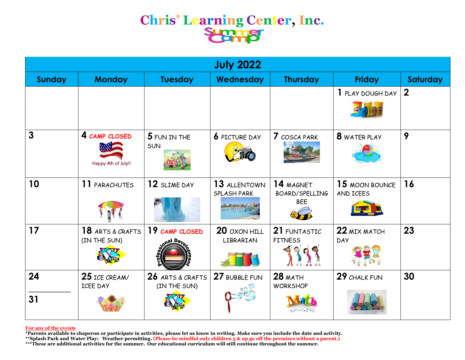# **Chris' Learning Center, Inc.**

| <b>July 2022</b> |                                      |                                  |                                    |                                           |                             |             |  |
|------------------|--------------------------------------|----------------------------------|------------------------------------|-------------------------------------------|-----------------------------|-------------|--|
| <b>Sunday</b>    | <b>Monday</b>                        | <b>Tuesday</b>                   | Wednesday                          | <b>Thursday</b>                           | <b>Friday</b>               | Saturday    |  |
|                  |                                      |                                  |                                    |                                           | 1 PLAY DOUGH DAY            | $\mathbf 2$ |  |
| $\overline{3}$   | 4 CAMP CLOSED<br>Happy 4th of July!! | 5 FUN IN THE<br><b>SUN</b>       | <b>6</b> PICTURE DAY               | 7 COSCA PARK                              | 8 WATER PLAY                | 9           |  |
| 10               | 11 PARACHUTES                        | 12 SLIME DAY                     | 13 ALLENTOWN<br><b>SPLASH PARK</b> | 14 MAGNET<br>BOARD/SPELLING<br><b>BEE</b> | 15 MOON BOUNCE<br>AND ICEES | 16          |  |
| 17               | 18 ARTS & CRAFTS<br>(IN THE SUN)     | 19 CAMP CLOSED                   | 20 OXON HILL<br>LIBRARIAN          | 21 FUNTASTIC<br><b>FITNESS</b>            | 22 MIX MATCH<br><b>DAY</b>  | 23          |  |
| 24<br>31         | 25 ICE CREAM/<br><b>ICEE DAY</b>     | 26 ARTS & CRAFTS<br>(IN THE SUN) | 27 BUBBLE FUN                      | $28$ MATH<br><b>WORKSHOP</b>              | 29 CHALK FUN                | 30          |  |
|                  |                                      |                                  |                                    |                                           |                             |             |  |

### **For any of the events**

**\*Parents available to chaperon or participate in activities, please let us know in writing. Make sure you include the date and activity.**

**\*\*Splash Park and Water Play: Weather permitting. (Please be mindful only children 5 & up go off the premises without a parent.)**

**\*\*\*These are additional activities for the summer. Our educational curriculum will still continue throughout the summer.**